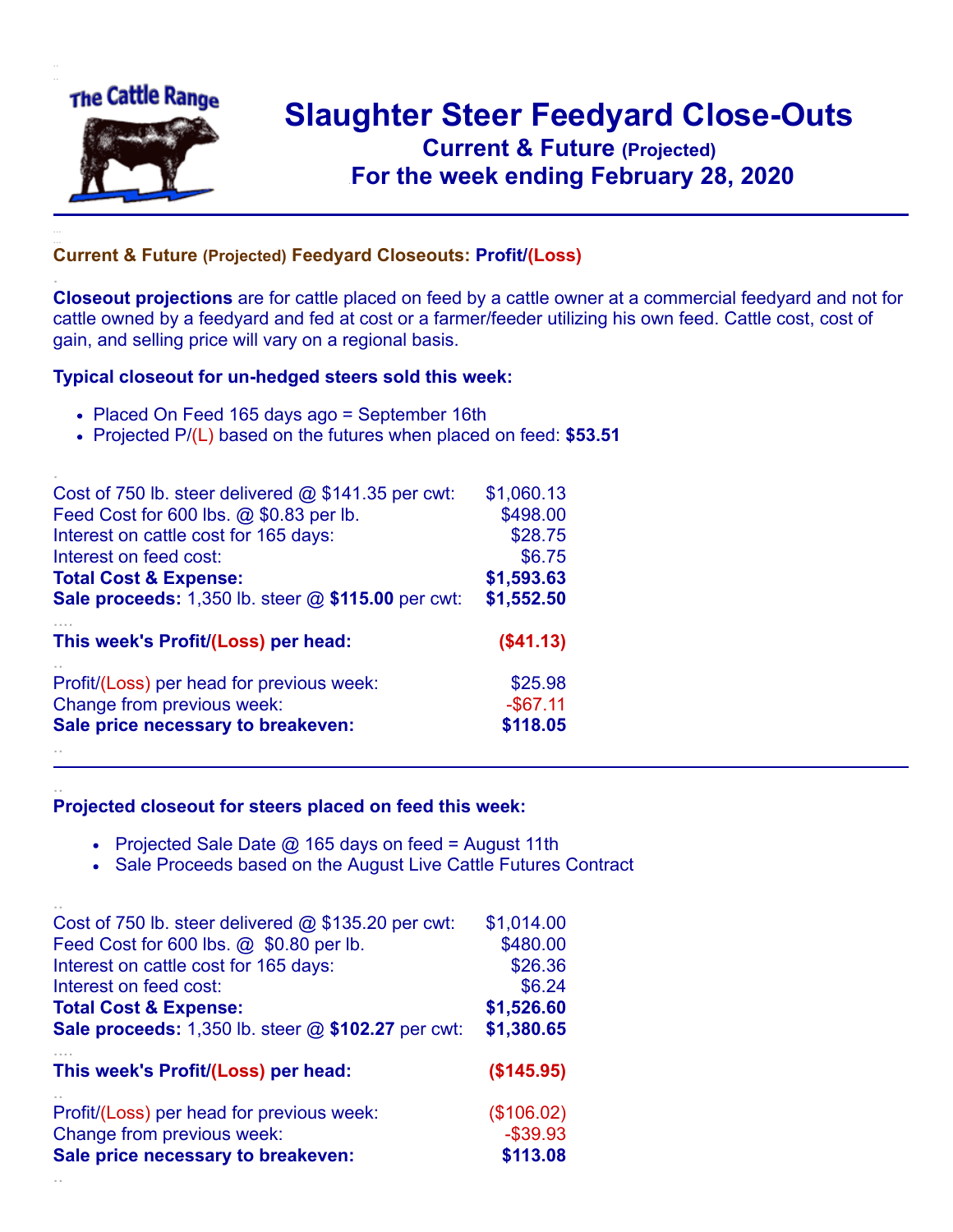

.

..

## **Slaughter Steer Feedyard Close-Outs Current & Future (Projected)** .**For the week ending February 28, 2020**

## **Current & Future (Projected) Feedyard Closeouts: Profit/(Loss)**

**Closeout projections** are for cattle placed on feed by a cattle owner at a commercial feedyard and not for cattle owned by a feedyard and fed at cost or a farmer/feeder utilizing his own feed. Cattle cost, cost of gain, and selling price will vary on a regional basis.

## **Typical closeout for un-hedged steers sold this week:**

- Placed On Feed 165 days ago = September 16th
- Projected P/(L) based on the futures when placed on feed: **\$53.51**

| Cost of 750 lb. steer delivered $@$ \$141.35 per cwt: | \$1,060.13  |
|-------------------------------------------------------|-------------|
| Feed Cost for 600 lbs. @ \$0.83 per lb.               | \$498.00    |
| Interest on cattle cost for 165 days:                 | \$28.75     |
| Interest on feed cost:                                | \$6.75      |
| <b>Total Cost &amp; Expense:</b>                      | \$1,593.63  |
| Sale proceeds: 1,350 lb. steer @ \$115.00 per cwt:    | \$1,552.50  |
| This week's Profit/(Loss) per head:                   | ( \$41.13)  |
| Profit/(Loss) per head for previous week:             | \$25.98     |
| Change from previous week:                            | $-$ \$67.11 |
| Sale price necessary to breakeven:                    | \$118.05    |
|                                                       |             |

## **Projected closeout for steers placed on feed this week:**

- Projected Sale Date  $@$  165 days on feed = August 11th
- Sale Proceeds based on the August Live Cattle Futures Contract

| Cost of 750 lb. steer delivered $@$ \$135.20 per cwt:     | \$1,014.00  |
|-----------------------------------------------------------|-------------|
| Feed Cost for 600 lbs. @ \$0.80 per lb.                   | \$480.00    |
| Interest on cattle cost for 165 days:                     | \$26.36     |
| Interest on feed cost:                                    | \$6.24      |
| <b>Total Cost &amp; Expense:</b>                          | \$1,526.60  |
| <b>Sale proceeds:</b> 1,350 lb. steer @ \$102.27 per cwt: | \$1,380.65  |
| This week's Profit/(Loss) per head:                       | (\$145.95)  |
| Profit/(Loss) per head for previous week:                 | (\$106.02)  |
| Change from previous week:                                | $-$ \$39.93 |
| Sale price necessary to breakeven:                        | \$113.08    |
|                                                           |             |